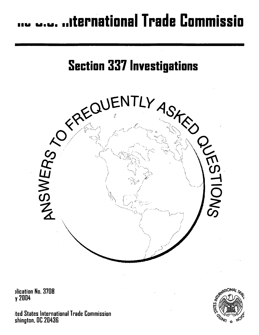# .... ..iternational Trade Commissio



1lication No. 3708 y 2004

ited States International Trade Commission shington. DC 20436

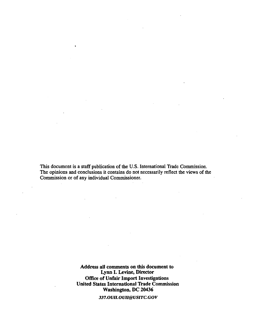This document is a staff publication of the U.S. International Trade Commission. The opinions and conclusions it contains do not necessarily reflect the views of the Commission or of any individual Commissioner.

> Address all comments on this document to Lynn I. Levine, Director Office of Unfair Import Investigations United States International Trade Commission Washington, DC 20436

> > 337.0UH.OUH@USITC.GOV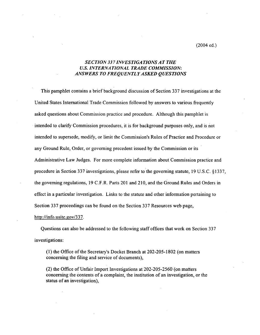(2004 ed.)

## *SECTION 337 INVESTIGATIONS AT THE U.S. INTERNA TJONAL TRADE COMMISSION: ANSWERS TO FREQUENTLY ASKED QUESTIONS*

This pamphlet contains a brief background discussion of Section 337 investigations at the United States International Trade Commission followed by answers to various frequently asked questions about Commission practice and procedure. Although this pamphlet is intended to clarify Commission procedures, it is for background purposes only, and is not intended to supersede, modify, or limit the Commission's Rules of Practice and Procedure or any Ground Rule, Order, or governing precedent issued by the Commission or its Administrative Law Judges. For more complete information about Commission practice and procedure in Section 337 investigations, please refer to the governing statute, 19 U.S.C. § 1337, the governing regulations, 19 C.F.R. Parts 201 and 210, and the Ground Rules and Orders in effect in a particular investigation. Links to the statute and other information pertaining to Section 337 proceedings can be found on the Section 337 Resources web page,

http://info.usitc.gov/337.

Questions can also be addressed to the following staff offices that work on Section 337 investigations:

(1) the Office of the Secretary's Docket Branch at 202-205-1802 (on matters concerning the filing and service of documents),

(2) the Office of Unfair Import Investigations at 202-205-2560 (on matters concerning the contents of a complaint, the institution of an investigation, or the status of an investigation),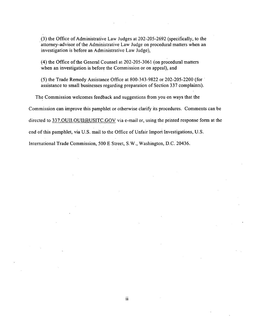(3) the Office of Administrative Law Judges at 202-205-2692 (specifically, to the attorney-advisor of the Administrative Law Judge on procedural matters when an investigation is before an Administrative Law Judge),

(4) the Office of the General Counsel at 202-205-3061 (on procedural matters when an investigation is before the Commission or on appeal), and

(5) the Trade Remedy Assistance Office at 800-343-9822 or 202-205-2200 (for · assistance to small businesses regarding preparation of Section 337 complaints).

The Commission welcomes feedback and suggestions from you on ways that the

Commission can improve this pamphlet or otherwise clarify its procedures. Comments can be

directed to 337.0UII.OUII@USITC.GOV via e-mail or, using the printed response form at the

end of this pamphlet, via U.S. mail to the Office of Unfair Import Investigations, U.S.

International Trade Commission, 500 E Street, S.W., Washington, D.C. 20436.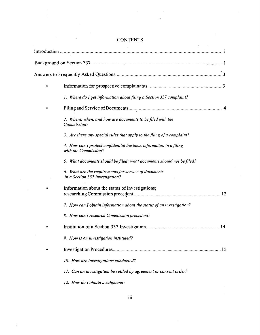| 1. Where do I get information about filing a Section 337 complaint?                        |
|--------------------------------------------------------------------------------------------|
|                                                                                            |
| 2. Where, when, and how are documents to be filed with the<br>Commission?                  |
| 3. Are there any special rules that apply to the filing of a complaint?                    |
| 4. How can I protect confidential business information in a filing<br>with the Commission? |
| 5. What documents should be filed; what documents should not be filed?                     |
| 6. What are the requirements for service of documents<br>in a Section 337 investigation?   |
| Information about the status of investigations;                                            |
| 7. How can I obtain information about the status of an investigation?                      |
| 8. How can I research Commission precedent?                                                |
|                                                                                            |
| 9. How is an investigation instituted?                                                     |
|                                                                                            |
| 10. How are investigations conducted?                                                      |
| 11. Can an investigation be settled by agreement or consent order?                         |
| 12. How do I obtain a subpoena?                                                            |

## **CONTENTS**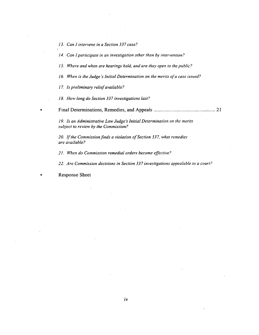*13. Can I intervene in a Section 337 case?* 

*14. Can I participate in an investigation other than by intervention?* 

*15. Where and when are hearings held, and are they open to the public?* 

*16. When is the Judge's Initial Determination on the merits of a case issued?* 

*17. Is preliminary relief available?* 

*18. How long do Section 337 investigations last?* 

• **Final Determinations, Remedies, and Appeals** ................................................. 21

*19. Is an Administrative Law Judge's Initial Determination on the merits subject to review by the Commission?* 

*·20.* If *the Commission finds a violation of Section 337, what remedies are available?* 

*21. When do Commission remedial orders become effective?* 

*22. Are Commission decisions in Section 337 investigations appealable to a court?* 

• Response Sheet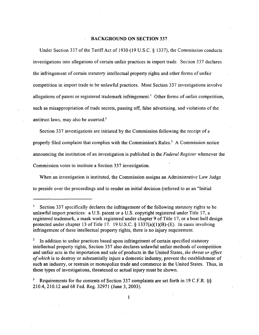#### BACKGROUND ON SECTION 337

Under Section 337 of the Tariff Act of 1930 (19 U.S.C. § 1337), the Commission conducts investigations into allegations of certain unfair practices in import trade. Section 337 declares the infringement of certain statutory intellectual property rights and other forms of unfair competition in import trade to be unlawful practices. Most Section 337 investigations involve allegations of patent or registered trademark infringement.<sup>1</sup> Other forms of unfair competition, such as misappropriation of trade secrets, passing off, false advertising, and violations of the antitrust laws, may also be asserted.<sup>2</sup>

Section 337 investigations are initiated by the Commission following the receipt of a properly filed complaint that complies with the Commission's Rules. 3 A Commission notice announcing the institution of an investigation is published in the *Federal Register* whenever the Commission votes to institute a Section 337 investigation.

When an investigation is instituted, the Commission assigns an Administrative Law Judge to preside over the proceedings and to render an initial decision (referred to as an "Initial

Section 337 specifically declares the infringement of the following statutory rights to be unlawful import practices: a U.S. patent or a U.S. copyright registered under Title 17, a registered trademark, a mask work registered under chapter 9 of Title 17, or a boat hull design protected under chapter 13 of Title 17. 19 U.S.C. § 1337(a)(1)(B)-(E). In cases involving infringement of these intellectual property rights, there is no injury requirement.

<sup>2</sup> In addition to unfair practices based upon infringement of certain specified statutory intellectual property rights, Section 337 also declares unlawful unfair methods of competition and unfair acts in the importation and sale of products in the United States, *the threat or effect of which* is to destroy or substantially injure a domestic industry, prevent the establishment of such an industry, or restrain or monopolize trade and commerce in the United States. Thus, in these types of investigations, threatened or actual injury must be shown.

<sup>&</sup>lt;sup>3</sup> Requirements for the contents of Section 337 complaints are set forth in 19 C.F.R.  $\S$ § 210.4, 210.12 and 68 Fed. Reg. 32971 (June 3, 2003).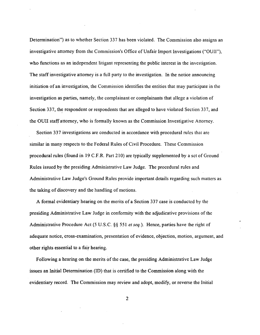Determination") as to whether Section 337 has been violated. The Commission also assigns an investigative attorney from the Commission's Office of Unfair Import Investigations ("OUII"), who functions as an independent litigant representing the public interest in the investigation. The staff investigative attorney is a full party to the investigation. In the notice announcing initiation of an investigation, the Commission identifies the entities that may participate in the investigation as parties, namely, the complainant or complainants that allege a violation of Section 337, the respondent or respondents that are alleged to have violated Section 337, and the OUII staff attorney, who is formally known as the Commission Investigative Attorney.

Section 337 investigations are conducted in accordance with procedural rules that are similar in many respects to the Federal Rules of Civil Procedure. These Commission procedural rules (found in 19 C.F.R. Part 210) are typically supplemented by a set of Ground Rules issued by the presiding Administrative Law Judge. The procedural rules and Administrative Law Judge's Ground Rules provide important details regarding such matters as the taking of discovery and the handling of motions.

A formal evidentiary hearing on the merits of a Section 337 case is conducted by the presiding Administrative Law Judge in conformity with the adjudicative provisions of the Administrative Procedure Act (5 U.S.C. §§ 551 *et seq.).* Hence, parties have the right of adequate notice, cross-examination, presentation of evidence, objection, motion, argument, and other rights essential to a fair hearing.

Following a hearing on the merits of the case, the presiding Administrative Law Judge issues an Initial Determination (ID) that is certified to the Commission along with the evidentiary record. The Commission may review and adopt, modify, or reverse the Initial

2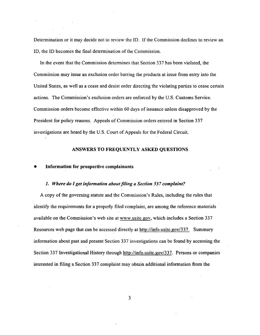Determination or it may decide not to review the ID. If the Commission declines to review an ID, the ID becomes the final determination of the Commission.

In the event that the Commission determines that Section 337 has been violated, the Commission may issue an exclusion order barring the products at issue from entry into the United States, as well as a cease and desist order directing the violating parties to cease certain actions. The Commission's exclusion orders are enforced by the U.S. Customs Service. Commission orders become effective within 60 days of issuance unless disapproved by the President for policy reasons. Appeals of Commission orders entered in Section 337 investigations are heard by the U.S. Court of Appeals for the Federal Circuit.

## ANSWERS TO FREQUENTLY ASKED QUESTIONS

#### • Information for prospective complainants

#### 1. *Where do I get information about filing a Section 33* 7 *complaint?*

A copy of the governing statute and the Commission's Rules, including the rules that identify the requirements for a properly filed complaint, are among the reference materials available on the Commission's web site at www.usitc.gov, which includes a Section 337 Resources web page that can be accessed directly at http://info.usitc.gov/337. Summary information about past and present Section 337 investigations can be found by accessing the Section 337 Investigational History through http://info.usitc.gov/337. Persons or companies interested in filing a Section 337 complaint may obtain additional information from the

3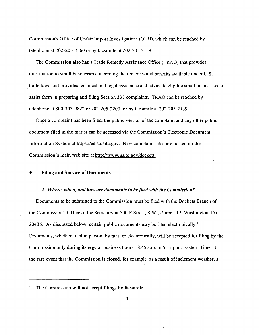Commission's Office of Unfair Import Investigations (OUII), which can be reached by telephone at  $202-205-2560$  or by facsimile at  $202-205-2158$ .

The Commission also has a Trade Remedy Assistance Office (TRAO) that provides information to small businesses concerning the remedies and benefits available under U.S. . trade laws and provides technical and legal assistance and advice to eligible small businesses to assist them in preparing and filing Section 337 complaints. TRAO can be reached by telephone at 800-343-9822 or 202-205-2200, or by facsimile at 202-205-2139.

Once a complaint has been filed, the public version of the complaint and any other public document filed in the matter can be accessed via the Commission's Electronic Document Information System at https://edis.usitc.gov. New complaints also are posted on the Commission's main web site at http://www.usitc.gov/dockets.

#### • Filing and Service of Documents

## *2. Where, when, and how are documents to be filed with the Commission?*

Documents to be submitted to the Commission must be filed with the Dockets Branch of the Commission's Office of the Secretary at 500 E Street, S.W., Room 112, Washington, D.C. 20436. As discussed below, certain public documents may be filed electronically.<sup>4</sup> Documents, whether filed in person, by mail or electronically, will be accepted for filing by the Commission only during its regular business hours: 8:45 a.m. to 5:15 p.m. Eastern Time. In the rare event that the Commission is closed, for example, as a result of inclement weather, a

The Commission will not accept filings by facsimile.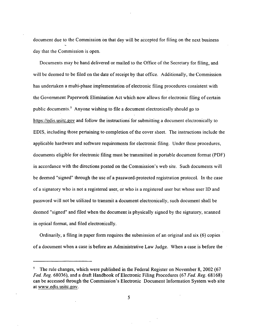document due to the Commission. on that day will be accepted for filing on the next business day that the Commission is open.

Documents may be hand delivered or mailed to the Office of the Secretary for filing, and will be deemed to be filed on the date of receipt by that office. Additionally, the Commission has undertaken a multi-phase implementation of electronic filing procedures consistent with the Government Paperwork Elimination Act which now allows for electronic filing of certain public documents.<sup>5</sup> Anyone wishing to file a document electronically should go to https://edis.usitc.gov and follow the instructions for submitting a document electronically to EDIS, including those pertaining to completion of the cover sheet. The instructions include the applicable hardware and software requirements for electronic filing. Under these procedures, documents eligible for electronic filing must be transmitted in portable document format (PDF) in accordance with the directions posted on the Commission's web site. Such documents will be deemed "signed" through the use of a password-protected registration protocol. In the case of a signatory who is not a registered user, or who is a registered user but whose user ID and password will not be utilized to transmit a document electronically, such document shall be deemed "signed" and filed when the document is physically signed by the signatory, scanned in optical format, and filed electronically.

Ordinarily, a filing in paper form requires the submission of an original and six (6) copies of a document when a case is before an Administrative Law Judge. When a case is before the

<sup>&</sup>lt;sup>5</sup> The rule changes, which were published in the Federal Register on November 8, 2002 (67) *Fed. Reg.* 68036), and a draft Handbook of Electronic Filing Procedures (67 *Fed. Reg.* 68168) can be accessed through the Commission's Electronic Document Information System web site at www.edis.usitc.gov.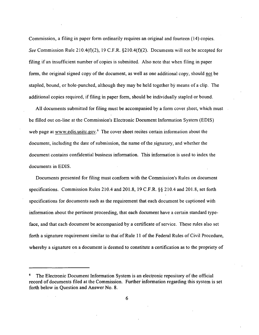Commission, a filing in paper form ordinarily requires an original and fourteen (14) copies. *See* Commission Rule 210.4(f)(2), 19 C.F.R. §210.4(f)(2). Documents will not be accepted for filing if an insufficient number of copies is submitted. Also note that when filing in paper form, the original signed copy of the document, as well as one additional copy, should not be stapled, bound, or hole-punched, although they may be held together by means of a clip. The additional copies required, if filing in paper form, should be individually stapled or bound.

All documents submitted for filing must be accompanied by a form cover sheet, which must be filled out on-line at the Commission's Electronic Document Information System (EDIS) web page at www.edis.usitc.gov.<sup>6</sup> The cover sheet recites certain information about the document, including the date of submission, the name of the signatory, and whether the document contains confidential business information. This information is used to index the documents in EDIS.

Documents presented for filing must conform with the Commission's Rules on document specifications. Commission Rules 210.4 and 201.8, 19 C.F.R. §§ 210.4 and 201.8, set forth specifications for documents such as the requirement that each document be captioned with information about the pertinent proceeding, that each document have a certain standard typeface, and that each document be accompanied by a certificate of service. These rules also set forth a signature requirement similar to that of Rule 11 of the Federal Rules of Civil Procedure, whereby a signature on a document is deemed to constitute a certification as to the propriety of

6

<sup>&</sup>lt;sup>6</sup> The Electronic Document Information System is an electronic repository of the official record of documents filed at the Commission. Further information regarding this system is set forth below in Question and Answer No. 8.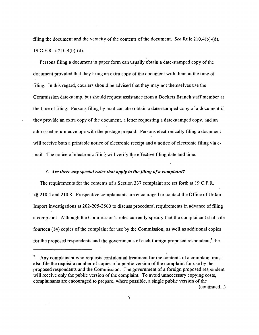filing the document and the veracity of the contents of the document. *See* Rule 210.4(b)-(d), 19 C.F.R. § 210.4(b)-(d).

Persons filing a document in paper form can usually obtain a date-stamped copy of the document provided that they bring an extra copy of the document with them at the time of filing. In this regard, couriers should be advised that they may not themselves use the Commission date-stamp, but should request assistance from a Dockets Branch staff member at the time of filing. Persons filing by mail can also obtain a date-stamped copy of a document if they provide an extra copy of the document, a letter requesting a date-stamped copy, and an addressed return envelope with the postage prepaid. Persons.electronically filing a document will receive both a printable notice of electronic receipt and a notice of electronic filing via email. The notice of electronic filing will verify the effective filing date and time.

## *3. Are there any special rules that apply to the filing of a complaint?*

The requirements for the contents of a Section 337 complaint are set forth at 19 C.F.R. §§ 210.4 and 210.8. Prospective complainants are encouraged to contact the Office of Unfair Import Investigations at 202-205-2560 to discuss procedural requirements in advance of filing a complaint. Although the Commission's rules currently specify that the complainant shall file fourteen (14) copies of the complaint for use by the Commission, as well as additional copies for the proposed respondents and the governments of each foreign proposed respondent,<sup>7</sup> the

<sup>&</sup>lt;sup>7</sup> Any complainant who requests confidential treatment for the contents of a complaint must also file the requisite number of copies of a public version of the complaint for use by the proposed respondents and the Commission. The government of a foreign proposed respondent will receive only the public version of the complaint. To avoid unnecessary copying costs, complainants are encouraged to prepare, where possible, a single public version of the  $(continued...)$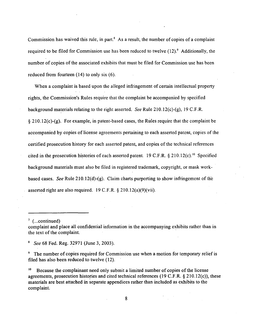Commission has waived this rule, in part. $8$  As a result, the number of copies of a complaint required to be filed for Commission use has been reduced to twelve  $(12)$ .<sup>9</sup> Additionally, the number of copies of the associated exhibits that must be filed for Commission use has been reduced from fourteen (14) to only six (6).

When a complaint is based upon the alleged infringement of certain intellectual property rights, the Commission's Rules require that the complaint be accompanied by specified background materials relating to the right asserted. *See* Rule 210.12(c)-(g), 19 C.F.R. § 210.12(c)-(g). For example, in patent-based cases, the Rules require that the complaint be accompanied by copies of license agreements pertaining to each asserted patent, copies of the certified prosecution history for each asserted patent, and copies of the technical references cited in the prosecution histories of each asserted patent. 19 C.F.R.  $\S 210.12(c)$ .<sup>10</sup> Specified background materials must also be filed in registered trademark, copyright, or mask workbased cases. *See* Rule 210.12(d)-(g). Claim charts purporting to show infringement of th'e asserted right are also required. 19 C.F.R. § 210.12(a)(9)(vii).

 $\frac{7}{1}$  (...continued)

<sup>8</sup>*See* 68 Fed. Reg. 32971 (June 3, 2003).

<sup>9</sup> The number of copies required for Commission use when a motion for temporary relief is filed has also been reduced to twelve (12).

<sup>10</sup> Because the complainant need only submit a limited number of copies of the license agreements, prosecution histories and cited technical references (19 C.F.R.  $\S$  210.12(c)), these materials are best attached in separate appendices rather than included as exhibits to the complaint.

complaint and place all confidential information in the accompanying exhibits rather than in the text of the complaint.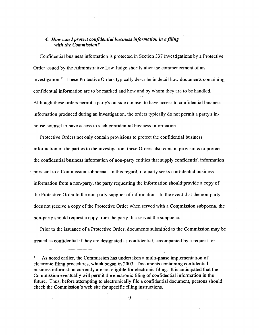## *4. How can I protect confidential business information in a filing with the Commission?*

Confidential business information is protected in Section 337 investigations by a Protective Order issued by the Administrative Law Judge shortly after the commencement of an investigation.<sup>11</sup> These Protective Orders typically describe in detail how documents containing confidential information are to be marked and how and by whom they are. to be handled. Although these orders permit a party's outside counsel to have access to confidential business information produced during an investigation, the orders typically do not permit a party's inhouse counsel to have access to such confidential business information.

Protective Orders not only contain provisions to protect the confidential business information of the parties to the investigation, these Orders also contain provisions to protect the confidential business information of non-party entities that supply confidential information pursuant to a Commission subpoena. In this 'regard, if a party seeks confidential business information from a non-party, the party requesting the information should provide a copy of the Protective Order to the non-party supplier of information. In the event that the non-party does not receive a copy of the Protective Order when served with a Commission subpoena, the non-party should request a copy from the party that served the subpoena.

Prior to the issuance of a Protective Order, documents submitted.to the Commission may be treated as confidential if they are designated as confidential, accompanied by a request for

 $11$  As noted earlier, the Commission has undertaken a multi-phase implementation of electronic filing procedures, which began in 2003. Documents containing confidential business information currently are not eligible for electronic filing. It is anticipated that the Commission eventually will permit the electronic filing of confidential information in the future. Thus, before attempting to electronically file a confidential document, persons should check the Commission's web site for specific filing instructions.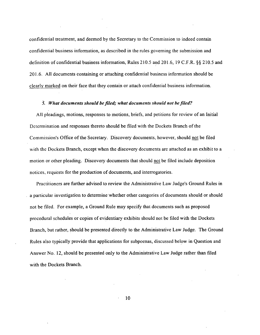confidential treatment, and deemed by the Secretary to the Commission to indeed contain confidential business information, as described in the rules governing the submission and definition of confidential business information, Rules 210.5 and 201.6, 19 C.F.R. §§ 210.5 and 201.6. All documents containing or attaching confidential business information should be clearly marked on their face that they contain or attach confidential business information.

## 5. *What documents should be filed; what documents should not be filed?*

All pleadings, motions, responses to motions, briefs, and petitions for review of an Initial Determination and responses thereto should be filed with the Dockets Branch of the Commission's Office of the Secretary. Discovery documents, however, should not be filed with the Dockets Branch, except when the discovery documents are attached as an exhibit to a motion or other pleading. Discovery documents that should not be filed include deposition notices, requests for the production of documents, and interrogatories.

Practitioners are further advised to review the Administrative Law Judge's Ground Rules in a particular investigation to determine whether other categories of documents should or should not be filed. For example, a Ground Rule may specify that documents such as proposed procedural schedules or copies of evidentiary exhibits should not be filed with the Dockets Branch, but rather, should be presented directly to the Administrative Law Judge. The Ground Rules also typically provide that applications for subpoenas, discussed below in Question and Answer No. 12, should be presented only to the Administrative Law Judge rather than filed with the Dockets Branch.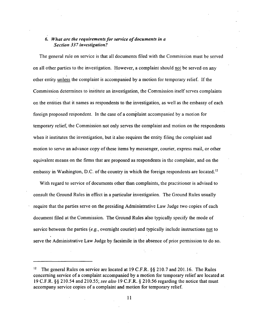## 6. *What are the requirements for service of documents in a Section 337 investigation?*

The general rule on service is that all documents filed with the Commission must be served on all other parties to the investigation. However, a complaint should not be served on any other entity unless the complaint is accompanied by a motion for temporary relief. If the Commission determines to institute an investigation, the Commission itself serves complaints on the entities that it names as respondents to the investigation, as well as the embassy of each foreign proposed respondent. In the case of a complaint accompanied by a motion for temporary relief, the Commission not only serves the complaint and motion on the respondents when it institutes the investigation, but it also requires the entity filing the complaint and motion to serve an advance copy of these items by messenger, courier, express mail, or other equivalent means on the firms that are proposed as respondents in the complaint, and on the embassy in Washington, D.C. of the country in which the foreign respondents are located.<sup>12</sup>

With regard to service of documents other than complaints, the practitioner is advised to consult the Ground Rules in effect in a particular investigation. The Ground Rules usually require that the parties serve on the presiding Administrative Law Judge two copies of each document filed at the Commission. The Ground Rules also typically specify the mode of service between the parties (e.g., overnight courier) and typically include instructions not to serve the Administrative Law Judge by facsimile in the absence of prior permission to do so.

The general Rules on service are located at 19 C.F.R. §§ 210.7 and 201.16. The Rules concerning service of a complaint accompanied by a motion for temporary relief are located at 19 C.F.R. §§ 210.54 and 210.55; *see also* 19 C.F.R. § 210.56 regarding the notice that must accompany service copies of a complaint and motion for temporary relief.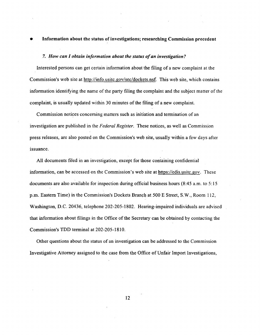#### • Information about the status of investigations; researching Commission precedent

#### 7. *How can 1 obtain information about the status of an investigation?*

Interested persons can get certain information about the filing of a new complaint at the Commission's web site at http://info.usitc.gov/sec/dockets.nsf. This web site, which contains information identifying the name of the party filing the complaint and the subject matter of the complaint, is usually updated within 30 minutes of the filing of a new complaint.

Commission notices concerning matters such as initiation and termination of an investigation are published in the *Federal Register*. These notices, as well as Commission press releases, are also posted on the Commission's web site, usually within a few days after issuance.

All documents filed in an investigation, except for those containing confidential information, can be accessed on the Commission's web site at https://edis.usitc.gov. These documents are also available for inspection during official business hours (8:45 a.m. to 5: 15 p.m. Eastern Time) in the Commission's Dockets Branch at 500 E Street, S.W., Room 112, Washington, D.C. 20436, telephone 202-205-1802. Hearing-impaired individuals are advised that information about filings in the Office of the Secretary can be obtained by contacting the Commission's TDD terminal at 202-205-1810.

Other questions about the status of an investigation can be addressed to the Commission Investigative Attorney assigned to the case from the Office of Unfair Import Investigations,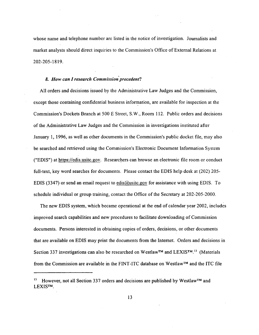whose name and telephone number are listed in the notice of investigation. Journalists and market analysts should direct inquiries to the Commission's Office of External Relations at 202-205-1819.

#### *8. How can I research Commission precedent?*

All orders and decisions issued by the Administrative Law Judges and the Commission, except those containing confidential business information, are available for inspection at the Commission's Dockets Branch at 500 E Street, S.W., Room 112. Public orders and decisions of the Administrative Law Judges and the Commission in investigations instituted after January 1, 1996, as well as other documents in the Commission's public docket file, may also be searched and retrieved using the Commission's Electronic Document Information System ("EDIS") at https://edis.usitc.gov. Researchers can browse an electronic file room or conduct full-text, key word searches for documents. Please contact the EDIS help desk at (202) 205- EDIS (3347) or send an email request to edis@usitc.gov for assistance with using EDIS. To schedule individual or group training, contact the Office of the Secretary at 202-205-2000.

The new EDIS system, which became operational at the end of calendar year 2002, includes improved search capabilities and new procedures to facilitate downloading of Commission documents. Persons interested in obtaining copies of orders, decisions, or other documents that are available on EDIS may print the documents from the Internet. Orders and decisions in Section 337 investigations can also be researched on Westlaw™ and LEXIS™.<sup>13</sup> (Materials from the Commission are available in the FINT-ITC database on Westlaw™ and the ITC file

However, not all Section 337 orders and decisions are published by Westlaw™ and LEXIS™.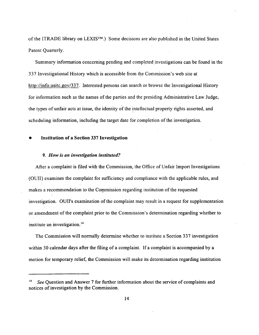of the !TRADE library on LEXIS™.) Some decisions are also published in the United States Patent Quarterly.

Summary information concerning pending and completed investigations can be found in the 337 Investigational History which is accessible from the Commission's web site at http://info.usitc.gov/337. Interested persons can search or browse the Investigational History for information such as the names of the parties and the presiding Administrative Law Judge, the types of unfair acts at issue, the identity of the intellectual property rights asserted, and scheduling information, including the target date for completion of the investigation.

#### • Institution of a Section 337 Investigation

#### *9. How is an investigation instituted?*

After a complaint is filed with the Commission, the Office of Unfair Import Investigations (OUII) examines the complaint for sufficiency and compliance with the applicable rules, and makes a recommendation to the Commission regarding institution of the requested investigation. OUII's examination of the complaint may result in a request for supplementation or amendment of the complaint prior to the Commission's determination regarding whether to institute an investigation. <sup>14</sup>

The Commission will normally determine whether to institute a Section 337 investigation within 30 calendar days after the filing of a complaint. If a complaint is accompanied by a motion for temporary relief, the Commission will make its determination regarding institution

<sup>14</sup>*See* Question and Answer 7 for further information about the service of complaints and notices of investigation by the Commission.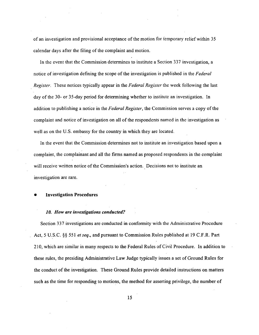of an investigation and provisional acceptance of the motion for temporary relief within 35 calendar days after the filing of the complaint and motion.

In the event that the Commission determines to institute a Section 337 investigation, a notice of investigation defining the scope of the investigation is published in the *Federal Register.* These notices typically appear in the *Federal Register* the week following the last day of the 30- or 35-day period for determining whether to institute an investigation. In addition to publishing a notice in the *Federal Register,* the Commission serves a copy of the complaint and notice of investigation on all of the respondents named in the investigation as well as on the U.S. embassy for the country in which they are located.

In the event that the Commission determines not to institute an investigation based upon a complaint, the complainant and all the firms named as proposed respondents in the complaint will receive written notice of the Commission's action. Decisions not to institute an investigation are rare.

• Investigation Procedures

#### *JO. How are investigations conducted?*

Section 337 investigations are conducted in conformity with the Administrative Procedure Act, 5 U.S.C. §§ 551 *et seq.*, and pursuant to Commission Rules published at 19 C.F.R. Part 210, which are similar in many respects to the Federal Rules of Civil Procedure. In addition to these rules, the presiding Administrative Law Judge typically issues a set of Ground Rules for the conduct of the investigation. These Ground Rules provide detailed instructions on matters such as the time for responding to motions, the method for asserting privilege, the number of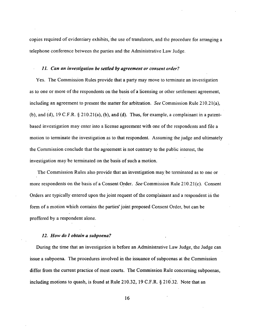copies required of evidentiary exhibits, the use of translators, and the procedure for arranging a telephone conference between the parties and the Administrative Law Judge.

## *11. Can an investigation be settled by agreement or consent order?*

Yes. The Commission Rules provide that a party may move to terminate an investigation as to one or more of the respondents on the basis of a licensing or other settlement agreement, including an agreement to present the matter for arbitration. *See* Commission Rule 210.21(a), (b), and (d), 19 C.F.R.  $\S$  210.21(a), (b), and (d). Thus, for example, a complainant in a patentbased investigation may enter into a license agreement with one of the respondents and file a motion to terminate the investigation as to that respondent. Assuming the judge and ultimately the Commission conclude that the agreement is not contrary to the public interest, the investigation may be terminated on the basis of such a motion.

The Commission Rules also provide that an investigation may be terminated as to one or more respondents on the basis of a Consent Order. *See* Commission Rule 210.21(c). Consent Orders are typically entered upon the joint request of the complainant and a respondent in the form of a motion which contains the parties' joint proposed Consent Order, but can be proffered by a respondent alone.

#### *12. How do I obtain a subpoena?*

During the time that an investigation is before an Administrative Law Judge, the Judge can issue a subpoena. The procedures involved in the issuance of subpoenas at the Commission differ from the current practice of most courts. The Commission Rule concerning subpoenas, including motions to quash, is found at Rule 210.32, 19 C.F.R. § 210.32. Note that an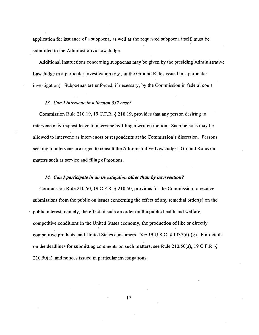application for issuance of a subpoena, as well as the requested subpoena itself, must be submitted to the Administrative Law Judge.

Additional instructions concerning subpoenas may be given by the presiding Administrative Law Judge in a particular investigation (e.g., in the Ground Rules issued in a particular investigation). Subpoenas are enforced, if necessary, by the Commission in federal court.

#### *13. Can I intervene in a Section 337 case?*

Commission Rule 210.19, 19 C.F.R. § 210.19, provides that any person desiring to intervene may request leave to intervene by filing a written motion. Such persons may be allowed to intervene as intervenors or respondents at the Commission's discretion. Persons seeking to intervene are urged to consult the Administrative Law Judge's Ground Rules on matters such as service and filing of motions.

#### *14. Can I participate in an investigation other than* by *intervention?*

Commission Rule 210.50, 19 C.F.R. § 210.50, provides for the Commission to receive submissions from the public on issues concerning the effect of any remedial order(s) on the public interest, namely, the effect of such an order on the public health and welfare, competitive conditions in the United States economy, the production oflike or directly competitive products, and United States consumers. *See* 19 U.S.C. § 1337(d)-(g). For details on the deadlines for submitting comments on such matters, see Rule 210.50(a), 19 C.F.R.  $\S$ 210.50(a), and notices issued in particular investigations.

17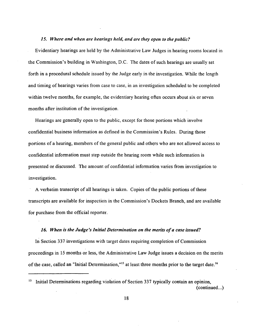#### *15. Where and when are hearings held, and are they open to the public?*

Evidentiary hearings are held by the Administrative Law Judges in hearing rooms located in the Commission's building in Washington, D.C. The dates of such hearings are usually set forth in a procedural schedule issued by the Judge early in the investigation. While the length and timing of hearings varies from case to case, in an investigation scheduled to be completed within twelve months, for example, the evidentiary hearing often occurs about six or seven months after institution of the investigation.

Hearings are generally open to the public, except for those portions which involve confidential business information as defined in the Commission's Rules. During those portions of a hearing, members of the general public and others who are not allowed access to confidential information must step outside the hearing room while such information is presented or discussed. The amount of confidential information varies from investigation to investigation.

A verbatim transcript of all hearings is taken. Copies of the public portions of these transcripts are available for inspection in the Commission's Dockets Branch, and are available for purchase from the official reporter.

#### *16. When is the Judge's Initial Determination on the merits of a case issued?*

In Section 337 investigations with target dates requiring completion of Commission proceedings in l5 months or less, the Administrative Law Judge issues a decision on the merits of the case, called an "Initial Determination,"<sup>15</sup> at least three months prior to the target date.<sup>16</sup>

<sup>&</sup>lt;sup>15</sup> Initial Determinations regarding violation of Section 337 typically contain an opinion,  $(continued...)$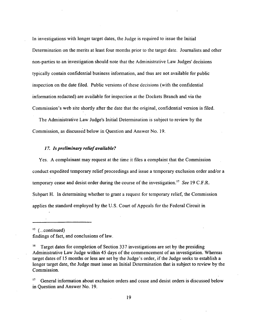In investigations with longer target dates, the Judge is required to issue the Initial Determination on the merits at least four months prior to the target date. Journalists and other non-parties to an investigation should note that the Administrative Law Judges' decisions typically contain confidential business information, and thus are not available for public inspection on the date filed. Public versions of these decisions (with the confidential information redacted) are available for inspection at the Dockets Branch and via the Commission's web site shortly after the date that the original, confidential version is filed.

The Administrative Law Judge's Initial Determination is subject to review by the Commission, as discussed below in Question and Answer No. 19.

#### *17. Is preliminary relief available?*

Yes. A complainant may request at the time it files a complaint that the Commission conduct expedited temporary relief proceedings and issue a temporary exclusion order and/or a temporary cease and desist order during the course of the investigation. <sup>17</sup>*See* 19 C.F.R. Subpart H. In determining whether to grant a request for temporary relief, the Commission applies the standard employed by the U.S. Court of Appeals for the Federal Circuit in

 $15$  (...continued) findings of fact, and conclusions of law.

<sup>16</sup> Target dates for completion of Section 337 investigations are set by the presiding Administrative Law Judge within 45 days of the commencement of an investigation. Whereas target dates of 15 months or less are set by the Judge's order, if the Judge seeks to establish a longer target date, the Judge must issue an Initial Determination that is subject to review by the Commission.

<sup>17</sup> General information about exclusion orders and cease and desist orders is discussed below in Question and Answer No. 19.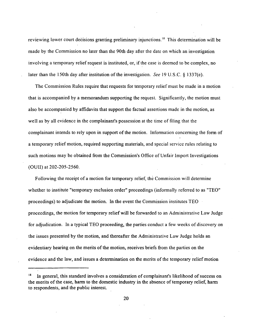reviewing lower court decisions granting preliminary injunctions.<sup>18</sup> This determination will be made by the Commission no later than the 90th day after the date on which an investigation involving a temporary relief request is instituted, or, if the case is deemed to be complex, no later than the 150th day after institution of the investigation. *See* 19 U.S.C. § 1337(e).

The Commission Rules require that requests for temporary relief must be made in a motion that is accompanied by a memorandum supporting the request. Significantly, the motion must also be accompanied by affidavits that support the factual assertions made in the motion, as well as by all evidence in the complainant's possession at the time of filing that the complainant intends to rely upon in support of the motion. Information concerning the form of a temporary relief motion, required supporting materials, and special service rules relating to such motions may be obtained from the Commission's Office of Unfair Import Investigations (OUII) at 202-205-2560.

Following the receipt of a motion for temporary relief, the Commission will determine whether to institute "temporary exclusion order" proceedings (informally referred to as "TEO" proceedings) to adjudicate the motion. In the event the Commission institutes TEO proceedings, the motion for temporary relief will be forwarded to an Administrative Law Judge for adjudication. In a typical TEO proceeding, the parties conduct a few weeks of discovery on the issues presented by the motion, and thereafter the Administrative Law Judge holds an evidentiary hearing on the merits of the motion, receives briefs from the parties on the evidence and the law, and issues a determination on the merits of the temporary relief motion

 $18$  In general, this standard involves a consideration of complainant's likelihood of success on the merits of the case, harm to the domestic industry in the absence of temporary relief, harm to respondents, and the public interest.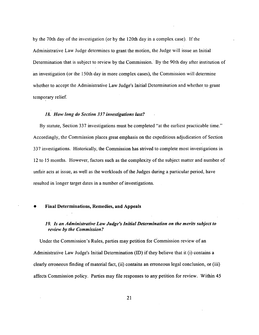by the 70th day of the investigation (or by the 120th day in a complex case). If the Administrative Law Judge determines to grant the motion, the Judge will issue an Initial Determination that is subject to review by the Commission. By the 90th day after institution of an investigation (or the l50th day in more complex cases), the Commission will determine whether to accept the Administrative Law Judge's Initial Determination and whether to grant temporary relief.

## *18. How long do Section 337 investigations last?*

By statute, Section 337 investigations must be completed "at the earliest practicable time." Accordingly, the Commission places great emphasis on the expeditious adjudication of Section 337 investigations. Historically, the Commission has strived to complete most investigations in 12 to 15 months. However, factors such as the complexity of the subject matter and number of unfair acts at issue, as well as the workloads of the Judges during a particular period, have resulted in longer target dates in a number of investigations.

#### • Final Determinations, Remedies, and Appeals

## *19. Is an Administrative Law Judge's Initial Determination on the merits subject to review by the Commission?*

Under the Commission's Rules, parties may petition for Commission review of an Administrative Law Judge's Initial Determination (ID) if they believe that it (i) contains a clearly erroneous finding of material fact, (ii) contains an erroneous legal conclusion, or (iii) affects Commission policy. Parties may file responses to any petition for review. Within 45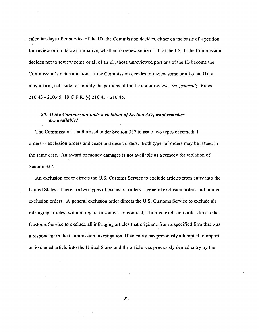calendar days after service of the lD, the Commission decides, either on the basis of a petition for review or on its own initiative, whether to review some or all of the ID. If the Commission decides not to review some or all of an ID, those unreviewed portions of the ID become the Commission's determination. If the Commission decides to review some or all of an ID, it may affirm, set aside, or modify the portions of the ID under review. *See generally,* Rules 210.43 - 210.45, 19 C.F.R. §§ 210.43 - 210.45.

## *20. If the Commission finds a violation of Section 337, what remedies are available?*

The Commission is authorized under Section 337 to issue two types ofremedial orders -- exclusion orders and cease and desist orders. Both types of orders may be issued in the same case. An award of money damages is not available as a remedy for violation of Section 337.

An exclusion order directs the U.S. Customs Service to exclude articles from entry into the United States. There are two types of exclusion orders -- general exclusion orders and limited exclusion orders. A general exclusion order directs the U.S. Customs Service to exclude all infringing articles, without regard to.source. In contrast, a limited exclusion order directs the Customs Service to exclude all infringing articles that originate from a specified firm that was a respondent in the Commission investigation. If an entity has previously attempted to import an excluded article into the United States and the article was previously denied entry by the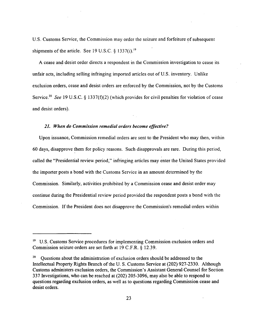U.S. Customs Service, the Commission may order the seizure and forfeiture of subsequent shipments of the article. See 19 U.S.C.  $§$  1337(i).<sup>19</sup>

A cease and desist order directs a respondent in the Commission investigation to cease its unfair acts, including selling infringing imported articles out of U.S. inventory. Unlike exclusion orders, cease and desist orders are enforced by the Commission, not by the Customs Service.<sup>20</sup> See 19 U.S.C. § 1337(f)(2) (which provides for civil penalties for violation of cease and desist orders).

#### *21. When do Commission remedial orders become effective?*

Upon issuance, Commission remedial orders are sent to the President who may then, within 60 days, disapprove them for policy reasons. Such disapprovals are rare. During this period, called the "Presidential review period," infringing articles may enter the United States provided the importer posts a bond with the Customs Service in an amount determined by the Commission. Similarly, activities prohibited by a Commission cease and desist order may continue during the Presidential review period provided the respondent posts a bond with the Commission. If the President does not disapprove the Commission's remedial orders within

<sup>&</sup>lt;sup>19</sup> U.S. Customs Service procedures for implementing Commission exclusion orders and Commission seizure orders are set forth at 19 C.F:R. § 12.39.

<sup>&</sup>lt;sup>20</sup> Questions about the administration of exclusion orders should be addressed to the Intellectual Property Rights Branch of the U. S. Customs Service at (202) 927-2330. Although Customs administers exclusion orders, the Commission's Assistant General Counsel for Section 337 Investigations, who can be reached at (202) 205-3096, may also be able to respond to questions regarding exclusion orders, as well as to questions regarding Commission cease and desist orders.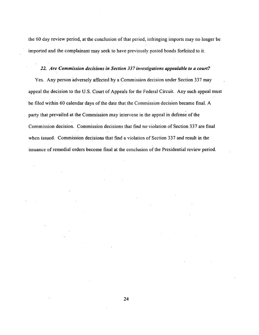the 60 day review period, at the conclusion of that period, infringing imports may no longer be imported and the complainant may seek to have previously posted bonds forfeited to it.

## *22. Are Commission decisions in Section 337 investigations appealable to a court?*

Yes. Any person adversely affected by a Commission decision under Section 337 may appeal the decision to the U.S. Court of Appeals for the Federal Circuit. Any such appeal must be filed within 60 calendar days of the date that the Commission decision became final. A party that prevailed at the Commission may intervene in the appeal in defense of the Commission decision. Commission decisions that find no violation of Section 337 are final when issued. Commission decisions that find a violation of Section 337 and result in the issuance of remedial orders become final at the conclusion of the Presidential review period.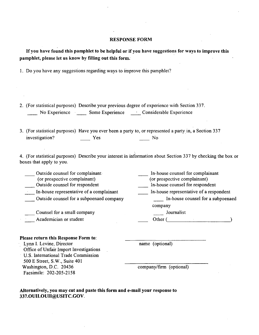#### RESPONSE FORM

If you have found this pamphlet to be helpful or if you have suggestions for ways to improve this pamphlet, please let us know by filling out this form.

1. Do you have any suggestions regarding ways to improve this pamphlet?

2. (For statistical purposes) Describe your previous degree of experience with Section 337. No Experience · \_\_\_\_\_ Some Experience · \_\_\_\_ Considerable Experience

3. (For statistical purposes) Have you ever been a party to, or represented a party in, a Section 337 investigation? Yes No

4. (For statistical purposes) Describe your interest in information about Section 337 by checking the box or boxes that apply to you.

\_\_ Outside counsel for complainant. \_\_ In-house counsel for complainant (or prospective complainant) (or prospective complainant) \_\_ Outside counsel for respondent In-house counsel for respondent \_·\_ In-house representative of a complainant In-house representative of a respondent Outside counsel for a subpoenaed company \_\_ In-house counsel for a subpoenaed company Journalist Counsel for a small company Other (and the contract of the contract of the contract of the contract of the contract of the contract of the contract of the contract of the contract of the contract of the contract of the contract of the contract of the Academician or student

#### Please return this Response Form to:

Lynn I. Levine, Director

name (optional)

Office of Unfair Import Investigations U.S. International Trade Commission 500 E Street, S.W., Suite 401 Washington, D.C. 20436 Facsimile: 202-205-2158

company/firm (optional)

Alternatively, you may cut and paste this form and e-mail your response to 337.OUII.OUII@USITC.GOV.